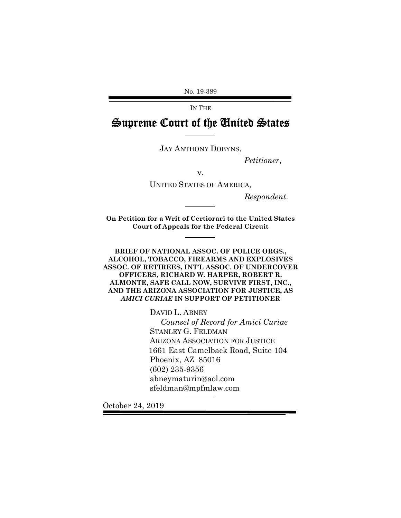No. 19-389

IN THE

Supreme Court of the United States

JAY ANTHONY DOBYNS,

*Petitioner*,

v.

UNITED STATES OF AMERICA,

*Respondent*.

**On Petition for a Writ of Certiorari to the United States Court of Appeals for the Federal Circuit**

**BRIEF OF NATIONAL ASSOC. OF POLICE ORGS., ALCOHOL, TOBACCO, FIREARMS AND EXPLOSIVES ASSOC. OF RETIREES, INT'L ASSOC. OF UNDERCOVER OFFICERS, RICHARD W. HARPER, ROBERT R. ALMONTE, SAFE CALL NOW, SURVIVE FIRST, INC., AND THE ARIZONA ASSOCIATION FOR JUSTICE, AS** *AMICI CURIAE* **IN SUPPORT OF PETITIONER**

> DAVID L. ABNEY *Counsel of Record for Amici Curiae* STANLEY G. FELDMAN ARIZONA ASSOCIATION FOR JUSTICE 1661 East Camelback Road, Suite 104 Phoenix, AZ 85016 (602) 235-9356 abneymaturin@aol.com sfeldman@mpfmlaw.com

October 24, 2019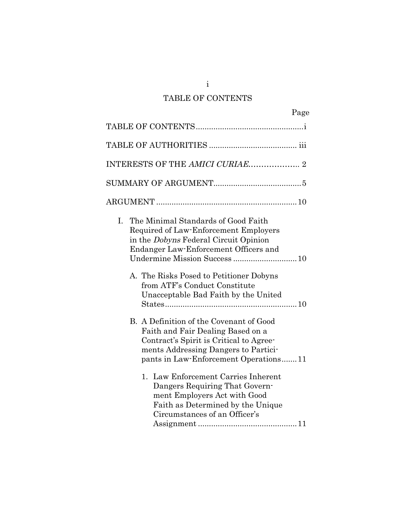## TABLE OF CONTENTS

| Page                                                                                                                                                                                                     |
|----------------------------------------------------------------------------------------------------------------------------------------------------------------------------------------------------------|
|                                                                                                                                                                                                          |
|                                                                                                                                                                                                          |
| INTERESTS OF THE AMICI CURIAE 2                                                                                                                                                                          |
|                                                                                                                                                                                                          |
|                                                                                                                                                                                                          |
| The Minimal Standards of Good Faith<br>Ι.<br>Required of Law-Enforcement Employers<br>in the <i>Dobyns</i> Federal Circuit Opinion<br>Endanger Law-Enforcement Officers and                              |
| A. The Risks Posed to Petitioner Dobyns<br>from ATF's Conduct Constitute<br>Unacceptable Bad Faith by the United                                                                                         |
| B. A Definition of the Covenant of Good<br>Faith and Fair Dealing Based on a<br>Contract's Spirit is Critical to Agree-<br>ments Addressing Dangers to Partici-<br>pants in Law-Enforcement Operations11 |
| Law Enforcement Carries Inherent<br>1.<br>Dangers Requiring That Govern-<br>ment Employers Act with Good<br>Faith as Determined by the Unique<br>Circumstances of an Officer's                           |

Assignment .............................................11

i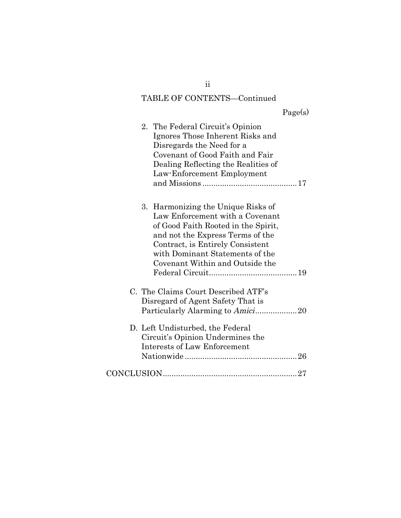# TABLE OF CONTENTS—Continued

# Page(s)

| 2. The Federal Circuit's Opinion<br>Ignores Those Inherent Risks and<br>Disregards the Need for a<br>Covenant of Good Faith and Fair<br>Dealing Reflecting the Realities of<br>Law-Enforcement Employment                                                     |  |
|---------------------------------------------------------------------------------------------------------------------------------------------------------------------------------------------------------------------------------------------------------------|--|
| Harmonizing the Unique Risks of<br>3.<br>Law Enforcement with a Covenant<br>of Good Faith Rooted in the Spirit,<br>and not the Express Terms of the<br>Contract, is Entirely Consistent<br>with Dominant Statements of the<br>Covenant Within and Outside the |  |
| C. The Claims Court Described ATF's<br>Disregard of Agent Safety That is                                                                                                                                                                                      |  |
| D. Left Undisturbed, the Federal<br>Circuit's Opinion Undermines the<br><b>Interests of Law Enforcement</b>                                                                                                                                                   |  |
|                                                                                                                                                                                                                                                               |  |

ii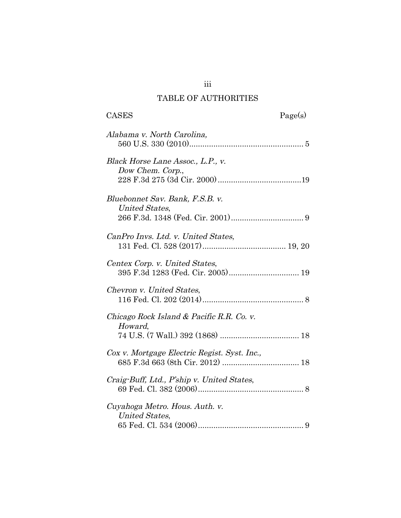### TABLE OF AUTHORITIES

| <b>CASES</b><br>Page(s)                                             |  |
|---------------------------------------------------------------------|--|
| Alabama v. North Carolina,                                          |  |
| Black Horse Lane Assoc., L.P., v.<br>Dow Chem. Corp.,               |  |
| Bluebonnet Sav. Bank, F.S.B. v.<br><b>United States,</b>            |  |
| CanPro Invs. Ltd. v. United States,                                 |  |
| Centex Corp. v. United States,<br>395 F.3d 1283 (Fed. Cir. 2005) 19 |  |
| Chevron v. United States,                                           |  |
| Chicago Rock Island & Pacific R.R. Co. v.<br>Howard,                |  |
| Cox v. Mortgage Electric Regist. Syst. Inc.,                        |  |
| Craig-Buff, Ltd., P'ship v. United States,                          |  |
| Cuyahoga Metro. Hous. Auth. v.<br>United States,                    |  |

iii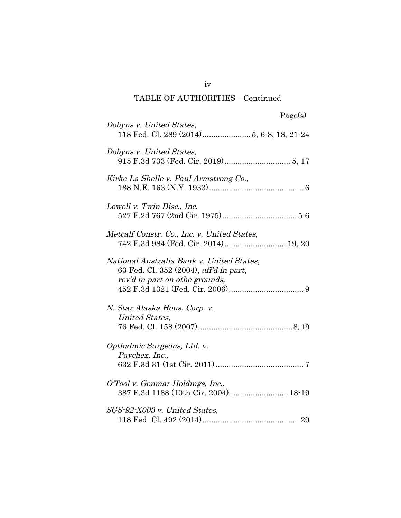# TABLE OF AUTHORITIES—Continued

| Dobyns v. United States,                                                                                              |
|-----------------------------------------------------------------------------------------------------------------------|
| Dobyns v. United States,                                                                                              |
| Kirke La Shelle v. Paul Armstrong Co.,                                                                                |
| Lowell v. Twin Disc., Inc.                                                                                            |
| Metcalf Constr. Co., Inc. v. United States,<br>742 F.3d 984 (Fed. Cir. 2014) 19, 20                                   |
| National Australia Bank v. United States,<br>63 Fed. Cl. 352 (2004), aff'd in part,<br>rev'd in part on othe grounds, |
| N. Star Alaska Hous. Corp. v.<br>United States,                                                                       |
| Opthalmic Surgeons, Ltd. v.<br>Paychex, Inc.,                                                                         |
| O'Tool v. Genmar Holdings, Inc.,                                                                                      |
| SGS-92-X003 v. United States,                                                                                         |

iv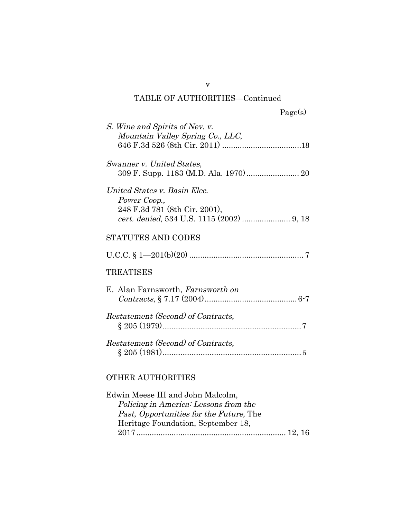# TABLE OF AUTHORITIES—Continued

| S. Wine and Spirits of Nev. v.<br>Mountain Valley Spring Co., LLC,            |
|-------------------------------------------------------------------------------|
| Swanner v. United States,                                                     |
| United States v. Basin Elec.<br>Power Coop.,<br>248 F.3d 781 (8th Cir. 2001), |
| <b>STATUTES AND CODES</b>                                                     |
|                                                                               |
| TREATISES                                                                     |
| E. Alan Farnsworth, Farnsworth on                                             |
| Restatement (Second) of Contracts,                                            |
| Restatement (Second) of Contracts,                                            |
| <b>OTHER AUTHORITIES</b>                                                      |

| Edwin Meese III and John Malcolm,              |  |
|------------------------------------------------|--|
| Policing in America: Lessons from the          |  |
| <i>Past, Opportunities for the Future, The</i> |  |
| Heritage Foundation, September 18,             |  |
|                                                |  |

v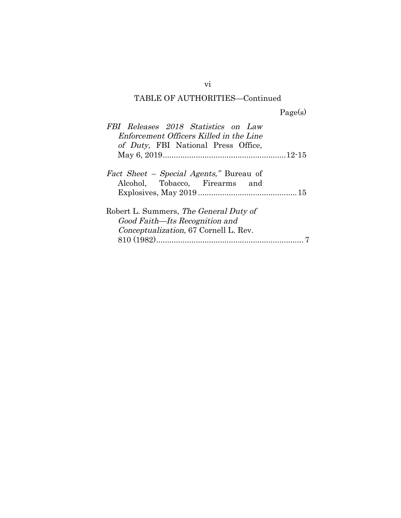# TABLE OF AUTHORITIES—Continued

Page(s)

| FBI Releases 2018 Statistics on Law<br>Enforcement Officers Killed in the Line    |
|-----------------------------------------------------------------------------------|
| of Duty, FBI National Press Office,                                               |
|                                                                                   |
| <i>Fact Sheet – Special Agents,</i> " Bureau of<br>Alcohol, Tobacco, Firearms and |
|                                                                                   |
| Robert L. Summers, The General Duty of                                            |
| Good Faith—Its Recognition and                                                    |
| Conceptualization, 67 Cornell L. Rev.                                             |
|                                                                                   |

vi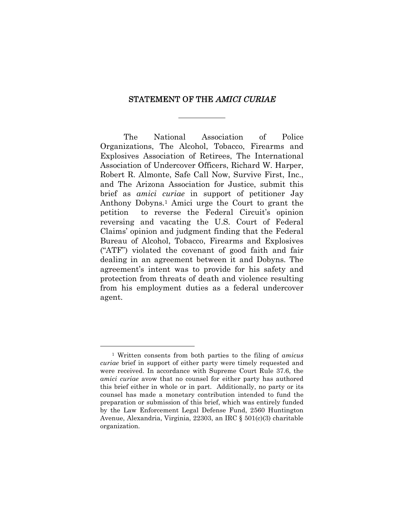#### STATEMENT OF THE AMICI CURIAE

The National Association of Police Organizations, The Alcohol, Tobacco, Firearms and Explosives Association of Retirees, The International Association of Undercover Officers, Richard W. Harper, Robert R. Almonte, Safe Call Now, Survive First, Inc., and The Arizona Association for Justice, submit this brief as *amici curiae* in support of petitioner Jay Anthony Dobyns.<sup>1</sup> Amici urge the Court to grant the petition to reverse the Federal Circuit's opinion reversing and vacating the U.S. Court of Federal Claims' opinion and judgment finding that the Federal Bureau of Alcohol, Tobacco, Firearms and Explosives ("ATF") violated the covenant of good faith and fair dealing in an agreement between it and Dobyns. The agreement's intent was to provide for his safety and protection from threats of death and violence resulting from his employment duties as a federal undercover agent.

<sup>1</sup> Written consents from both parties to the filing of *amicus curiae* brief in support of either party were timely requested and were received. In accordance with Supreme Court Rule 37.6, the *amici curiae* avow that no counsel for either party has authored this brief either in whole or in part. Additionally, no party or its counsel has made a monetary contribution intended to fund the preparation or submission of this brief, which was entirely funded by the Law Enforcement Legal Defense Fund, 2560 Huntington Avenue, Alexandria, Virginia, 22303, an IRC § 501(c)(3) charitable organization.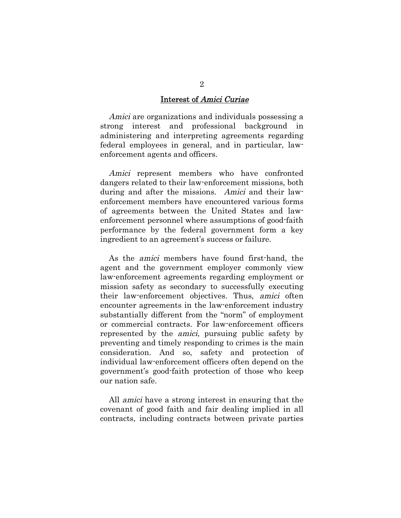#### Interest of Amici Curiae

Amici are organizations and individuals possessing a strong interest and professional background in administering and interpreting agreements regarding federal employees in general, and in particular, lawenforcement agents and officers.

Amici represent members who have confronted dangers related to their law-enforcement missions, both during and after the missions. Amici and their lawenforcement members have encountered various forms of agreements between the United States and lawenforcement personnel where assumptions of good-faith performance by the federal government form a key ingredient to an agreement's success or failure.

As the amici members have found first-hand, the agent and the government employer commonly view law-enforcement agreements regarding employment or mission safety as secondary to successfully executing their law-enforcement objectives. Thus, amici often encounter agreements in the law-enforcement industry substantially different from the "norm" of employment or commercial contracts. For law-enforcement officers represented by the amici, pursuing public safety by preventing and timely responding to crimes is the main consideration. And so, safety and protection of individual law-enforcement officers often depend on the government's good-faith protection of those who keep our nation safe.

All amici have a strong interest in ensuring that the covenant of good faith and fair dealing implied in all contracts, including contracts between private parties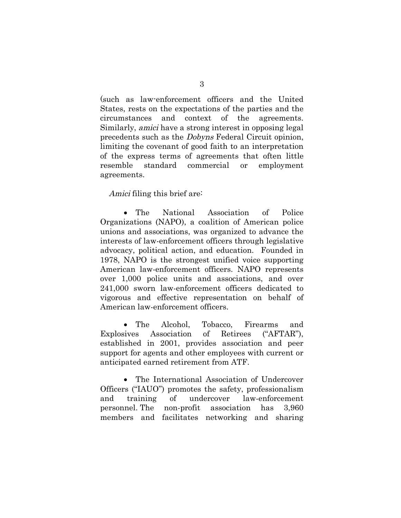(such as law-enforcement officers and the United States, rests on the expectations of the parties and the circumstances and context of the agreements. Similarly, amici have a strong interest in opposing legal precedents such as the Dobyns Federal Circuit opinion, limiting the covenant of good faith to an interpretation of the express terms of agreements that often little resemble standard commercial or employment agreements.

#### Amici filing this brief are:

 The National Association of Police Organizations (NAPO), a coalition of American police unions and associations, was organized to advance the interests of law-enforcement officers through legislative advocacy, political action, and education. Founded in 1978, NAPO is the strongest unified voice supporting American law-enforcement officers. NAPO represents over 1,000 police units and associations, and over 241,000 sworn law-enforcement officers dedicated to vigorous and effective representation on behalf of American law-enforcement officers.

• The Alcohol, Tobacco, Firearms and Explosives Association of Retirees ("AFTAR"), established in 2001, provides association and peer support for agents and other employees with current or anticipated earned retirement from ATF.

 The International Association of Undercover Officers ("IAUO") promotes the safety, professionalism and training of undercover law-enforcement personnel. The non-profit association has 3,960 members and facilitates networking and sharing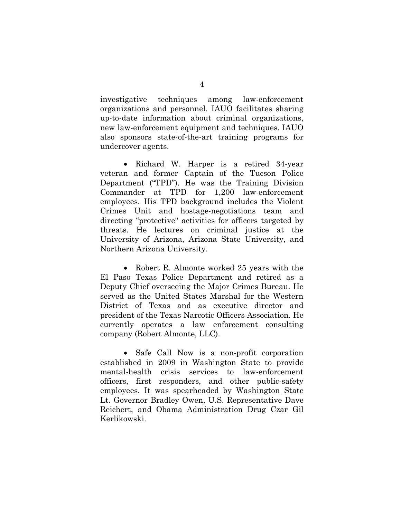investigative techniques among law-enforcement organizations and personnel. IAUO facilitates sharing up-to-date information about criminal organizations, new law-enforcement equipment and techniques. IAUO also sponsors state-of-the-art training programs for undercover agents.

• Richard W. Harper is a retired 34-year veteran and former Captain of the Tucson Police Department ("TPD"). He was the Training Division Commander at TPD for 1,200 law-enforcement employees. His TPD background includes the Violent Crimes Unit and hostage-negotiations team and directing "protective" activities for officers targeted by threats. He lectures on criminal justice at the University of Arizona, Arizona State University, and Northern Arizona University.

• Robert R. Almonte worked 25 years with the El Paso Texas Police Department and retired as a Deputy Chief overseeing the Major Crimes Bureau. He served as the United States Marshal for the Western District of Texas and as executive director and president of the Texas Narcotic Officers Association. He currently operates a law enforcement consulting company (Robert Almonte, LLC).

 Safe Call Now is a non-profit corporation established in 2009 in Washington State to provide mental-health crisis services to law-enforcement officers, first responders, and other public-safety employees. It was spearheaded by Washington State Lt. Governor Bradley Owen, U.S. Representative Dave Reichert, and Obama Administration Drug Czar Gil Kerlikowski.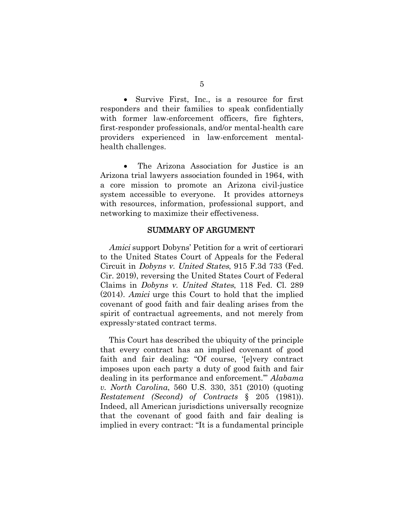Survive First, Inc., is a resource for first responders and their families to speak confidentially with former law-enforcement officers, fire fighters, first-responder professionals, and/or mental-health care providers experienced in law-enforcement mentalhealth challenges.

 The Arizona Association for Justice is an Arizona trial lawyers association founded in 1964, with a core mission to promote an Arizona civil-justice system accessible to everyone. It provides attorneys with resources, information, professional support, and networking to maximize their effectiveness.

#### SUMMARY OF ARGUMENT

Amici support Dobyns' Petition for a writ of certiorari to the United States Court of Appeals for the Federal Circuit in Dobyns v. United States, 915 F.3d 733 (Fed. Cir. 2019), reversing the United States Court of Federal Claims in Dobyns v. United States, 118 Fed. Cl. 289 (2014). Amici urge this Court to hold that the implied covenant of good faith and fair dealing arises from the spirit of contractual agreements, and not merely from expressly-stated contract terms.

This Court has described the ubiquity of the principle that every contract has an implied covenant of good faith and fair dealing: "Of course, '[e]very contract imposes upon each party a duty of good faith and fair dealing in its performance and enforcement.'" *Alabama v. North Carolina*, 560 U.S. 330, 351 (2010) (quoting *Restatement (Second) of Contracts* § 205 (1981)). Indeed, all American jurisdictions universally recognize that the covenant of good faith and fair dealing is implied in every contract: "It is a fundamental principle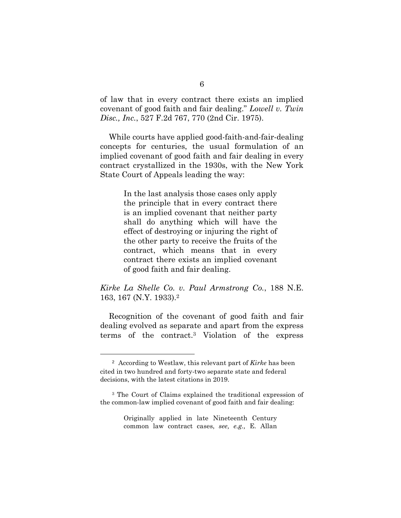of law that in every contract there exists an implied covenant of good faith and fair dealing." *Lowell v. Twin Disc., Inc.*, 527 F.2d 767, 770 (2nd Cir. 1975).

While courts have applied good-faith-and-fair-dealing concepts for centuries, the usual formulation of an implied covenant of good faith and fair dealing in every contract crystallized in the 1930s, with the New York State Court of Appeals leading the way:

> In the last analysis those cases only apply the principle that in every contract there is an implied covenant that neither party shall do anything which will have the effect of destroying or injuring the right of the other party to receive the fruits of the contract, which means that in every contract there exists an implied covenant of good faith and fair dealing.

### *Kirke La Shelle Co. v. Paul Armstrong Co.*, 188 N.E. 163, 167 (N.Y. 1933).<sup>2</sup>

Recognition of the covenant of good faith and fair dealing evolved as separate and apart from the express terms of the contract.<sup>3</sup> Violation of the express

<sup>2</sup> According to Westlaw, this relevant part of *Kirke* has been cited in two hundred and forty-two separate state and federal decisions, with the latest citations in 2019.

<sup>3</sup> The Court of Claims explained the traditional expression of the common-law implied covenant of good faith and fair dealing:

Originally applied in late Nineteenth Century common law contract cases, *see, e.g.,* E. Allan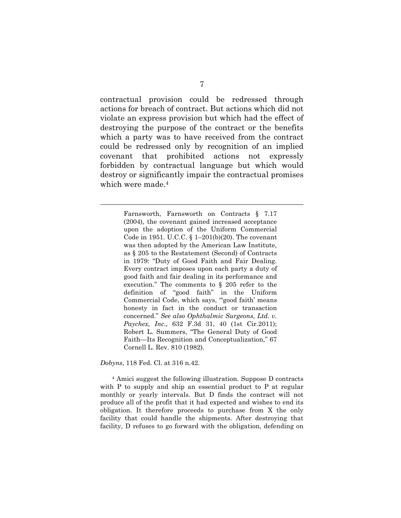contractual provision could be redressed through actions for breach of contract. But actions which did not violate an express provision but which had the effect of destroying the purpose of the contract or the benefits which a party was to have received from the contract could be redressed only by recognition of an implied covenant that prohibited actions not expressly forbidden by contractual language but which would destroy or significantly impair the contractual promises which were made.<sup>4</sup>

> Farnsworth, Farnsworth on Contracts § 7.17 (2004), the covenant gained increased acceptance upon the adoption of the Uniform Commercial Code in 1951. U.C.C. § 1–201(b)(20). The covenant was then adopted by the American Law Institute, as § 205 to the Restatement (Second) of Contracts in 1979: "Duty of Good Faith and Fair Dealing. Every contract imposes upon each party a duty of good faith and fair dealing in its performance and execution." The comments to § 205 refer to the definition of "good faith" in the Uniform Commercial Code, which says, "good faith' means honesty in fact in the conduct or transaction concerned." *See also Ophthalmic Surgeons, Ltd. v. Paychex, Inc.,* 632 F.3d 31, 40 (1st Cir.2011); Robert L. Summers, "The General Duty of Good Faith—Its Recognition and Conceptualization," 67 Cornell L. Rev. 810 (1982).

*Dobyns*, 118 Fed. Cl. at 316 n.42.

<sup>4</sup> Amici suggest the following illustration. Suppose D contracts with P to supply and ship an essential product to P at regular monthly or yearly intervals. But D finds the contract will not produce all of the profit that it had expected and wishes to end its obligation. It therefore proceeds to purchase from X the only facility that could handle the shipments. After destroying that facility, D refuses to go forward with the obligation, defending on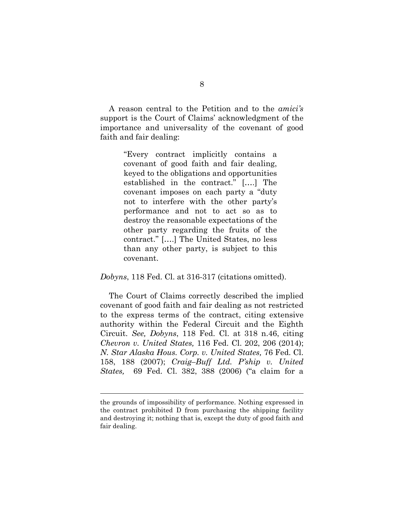A reason central to the Petition and to the *amici's* support is the Court of Claims' acknowledgment of the importance and universality of the covenant of good faith and fair dealing:

> "Every contract implicitly contains a covenant of good faith and fair dealing, keyed to the obligations and opportunities established in the contract." [….] The covenant imposes on each party a "duty not to interfere with the other party's performance and not to act so as to destroy the reasonable expectations of the other party regarding the fruits of the contract." [….] The United States, no less than any other party, is subject to this covenant.

*Dobyns*, 118 Fed. Cl. at 316-317 (citations omitted).

The Court of Claims correctly described the implied covenant of good faith and fair dealing as not restricted to the express terms of the contract, citing extensive authority within the Federal Circuit and the Eighth Circuit. *See, Dobyns*, 118 Fed. Cl. at 318 n.46, citing *Chevron v. United States,* 116 Fed. Cl. 202, 206 (2014); *N. Star Alaska Hous. Corp. v. United States,* 76 Fed. Cl. 158, 188 (2007); *Craig–Buff Ltd. P'ship v. United States,* 69 Fed. Cl. 382, 388 (2006) ("a claim for a

the grounds of impossibility of performance. Nothing expressed in the contract prohibited D from purchasing the shipping facility and destroying it; nothing that is, except the duty of good faith and fair dealing.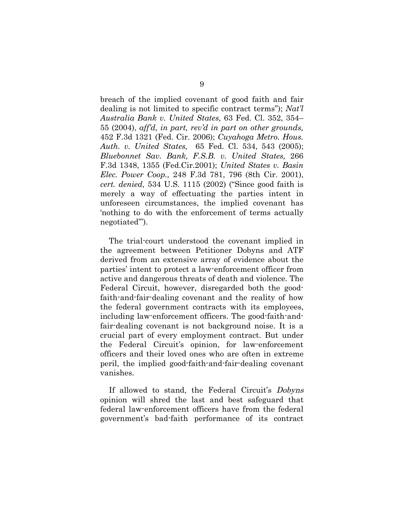breach of the implied covenant of good faith and fair dealing is not limited to specific contract terms"); *Nat'l Australia Bank v. United States,* 63 Fed. Cl. 352, 354– 55 (2004), *aff'd, in part, rev'd in part on other grounds,* 452 F.3d 1321 (Fed. Cir. 2006); *Cuyahoga Metro. Hous. Auth. v. United States,* 65 Fed. Cl. 534, 543 (2005); *Bluebonnet Sav. Bank, F.S.B. v. United States,* 266 F.3d 1348, 1355 (Fed.Cir.2001); *United States v. Basin Elec. Power Coop.,* 248 F.3d 781, 796 (8th Cir. 2001), *cert. denied,* 534 U.S. 1115 (2002) ("Since good faith is merely a way of effectuating the parties intent in unforeseen circumstances, the implied covenant has 'nothing to do with the enforcement of terms actually negotiated'").

The trial-court understood the covenant implied in the agreement between Petitioner Dobyns and ATF derived from an extensive array of evidence about the parties' intent to protect a law-enforcement officer from active and dangerous threats of death and violence. The Federal Circuit, however, disregarded both the goodfaith-and-fair-dealing covenant and the reality of how the federal government contracts with its employees, including law-enforcement officers. The good-faith-andfair-dealing covenant is not background noise. It is a crucial part of every employment contract. But under the Federal Circuit's opinion, for law-enforcement officers and their loved ones who are often in extreme peril, the implied good-faith-and-fair-dealing covenant vanishes.

If allowed to stand, the Federal Circuit's Dobyns opinion will shred the last and best safeguard that federal law-enforcement officers have from the federal government's bad-faith performance of its contract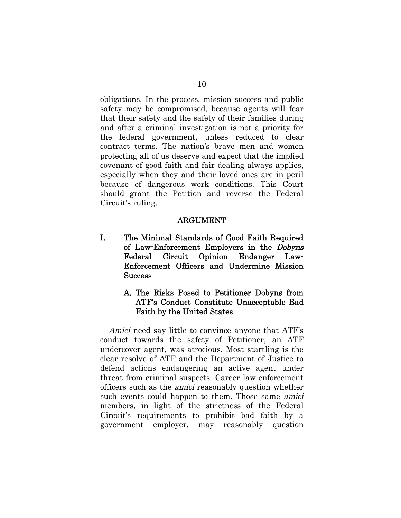obligations. In the process, mission success and public safety may be compromised, because agents will fear that their safety and the safety of their families during and after a criminal investigation is not a priority for the federal government, unless reduced to clear contract terms. The nation's brave men and women protecting all of us deserve and expect that the implied covenant of good faith and fair dealing always applies, especially when they and their loved ones are in peril because of dangerous work conditions. This Court should grant the Petition and reverse the Federal Circuit's ruling.

#### ARGUMENT

- I. The Minimal Standards of Good Faith Required of Law-Enforcement Employers in the Dobyns Federal Circuit Opinion Endanger Law-Enforcement Officers and Undermine Mission **Success** 
	- A. The Risks Posed to Petitioner Dobyns from ATF's Conduct Constitute Unacceptable Bad Faith by the United States

Amici need say little to convince anyone that ATF's conduct towards the safety of Petitioner, an ATF undercover agent, was atrocious. Most startling is the clear resolve of ATF and the Department of Justice to defend actions endangering an active agent under threat from criminal suspects. Career law-enforcement officers such as the amici reasonably question whether such events could happen to them. Those same *amici* members, in light of the strictness of the Federal Circuit's requirements to prohibit bad faith by a government employer, may reasonably question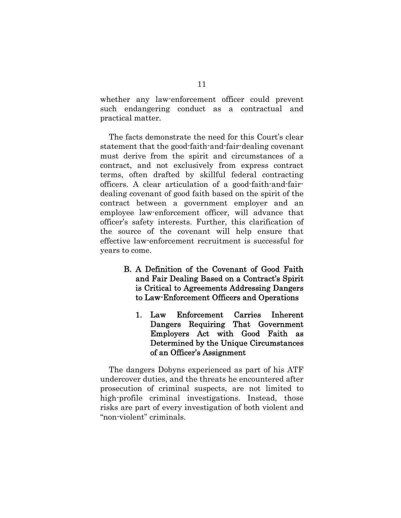whether any law-enforcement officer could prevent such endangering conduct as a contractual and practical matter.

The facts demonstrate the need for this Court's clear statement that the good-faith-and-fair-dealing covenant must derive from the spirit and circumstances of a contract, and not exclusively from express contract terms, often drafted by skillful federal contracting officers. A clear articulation of a good-faith-and-fairdealing covenant of good faith based on the spirit of the contract between a government employer and an employee law-enforcement officer, will advance that officer's safety interests. Further, this clarification of the source of the covenant will help ensure that effective law-enforcement recruitment is successful for years to come.

- B. A Definition of the Covenant of Good Faith and Fair Dealing Based on a Contract's Spirit is Critical to Agreements Addressing Dangers to Law-Enforcement Officers and Operations
	- 1. Law Enforcement Carries Inherent Dangers Requiring That Government Employers Act with Good Faith as Determined by the Unique Circumstances of an Officer's Assignment

The dangers Dobyns experienced as part of his ATF undercover duties, and the threats he encountered after prosecution of criminal suspects, are not limited to high-profile criminal investigations. Instead, those risks are part of every investigation of both violent and "non-violent" criminals.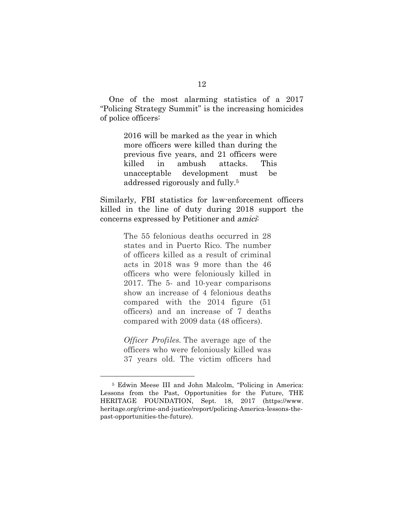One of the most alarming statistics of a 2017 "Policing Strategy Summit" is the increasing homicides of police officers:

> 2016 will be marked as the year in which more officers were killed than during the previous five years, and 21 officers were killed in ambush attacks. This unacceptable development must be addressed rigorously and fully.<sup>5</sup>

Similarly, FBI statistics for law-enforcement officers killed in the line of duty during 2018 support the concerns expressed by Petitioner and amici:

> The 55 felonious deaths occurred in 28 states and in Puerto Rico. The number of officers killed as a result of criminal acts in 2018 was 9 more than the 46 officers who were feloniously killed in 2017. The 5- and 10-year comparisons show an increase of 4 felonious deaths compared with the 2014 figure (51 officers) and an increase of 7 deaths compared with 2009 data (48 officers).

> *Officer Profiles.* The average age of the officers who were feloniously killed was 37 years old. The victim officers had

<sup>5</sup> Edwin Meese III and John Malcolm, "Policing in America: Lessons from the Past, Opportunities for the Future, THE HERITAGE FOUNDATION, Sept. 18, 2017 (https://www. heritage.org/crime-and-justice/report/policing-America-lessons-thepast-opportunities-the-future).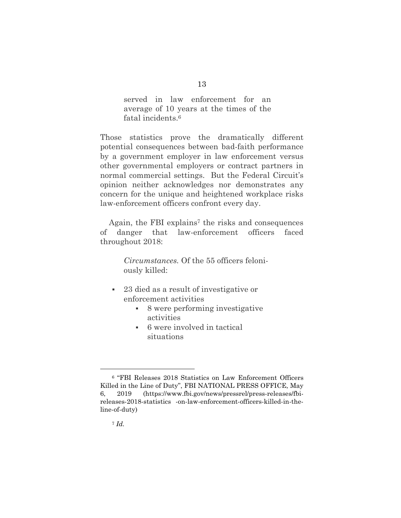served in law enforcement for an average of 10 years at the times of the fatal incidents.<sup>6</sup>

Those statistics prove the dramatically different potential consequences between bad-faith performance by a government employer in law enforcement versus other governmental employers or contract partners in normal commercial settings. But the Federal Circuit's opinion neither acknowledges nor demonstrates any concern for the unique and heightened workplace risks law-enforcement officers confront every day.

Again, the FBI explains<sup>7</sup> the risks and consequences of danger that law-enforcement officers faced throughout 2018:

> *Circumstances.* Of the 55 officers feloniously killed:

- 23 died as a result of investigative or enforcement activities
	- 8 were performing investigative activities
	- 6 were involved in tactical situations

<sup>6</sup> "FBI Releases 2018 Statistics on Law Enforcement Officers Killed in the Line of Duty", FBI NATIONAL PRESS OFFICE, May 6, 2019 (https://www.fbi.gov/news/pressrel/press-releases/fbireleases-2018-statistics -on-law-enforcement-officers-killed-in-theline-of-duty)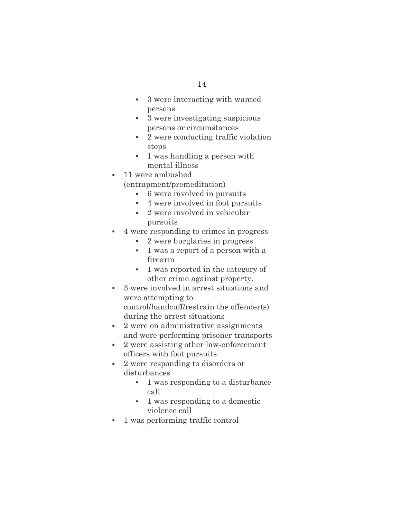- 3 were interacting with wanted persons
- 3 were investigating suspicious persons or circumstances
- 2 were conducting traffic violation stops
- 1 was handling a person with mental illness
- 11 were ambushed (entrapment/premeditation)
	- 6 were involved in pursuits
	- 4 were involved in foot pursuits
	- 2 were involved in vehicular pursuits
- 4 were responding to crimes in progress
	- 2 were burglaries in progress
	- 1 was a report of a person with a firearm
	- 1 was reported in the category of other crime against property.
- 3 were involved in arrest situations and were attempting to control/handcuff/restrain the offender(s)
- during the arrest situations • 2 were on administrative assignments and were performing prisoner transports
- 2 were assisting other law-enforcement officers with foot pursuits
- 2 were responding to disorders or disturbances
	- 1 was responding to a disturbance call
	- 1 was responding to a domestic violence call
- 1 was performing traffic control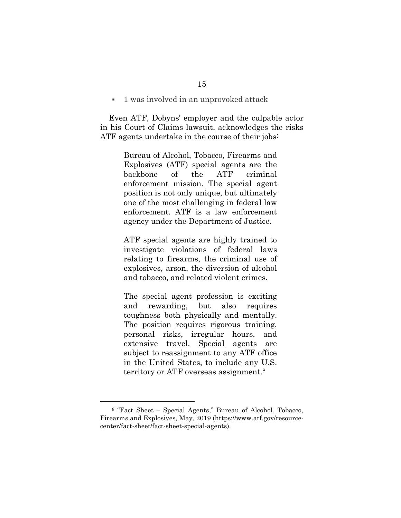1 was involved in an unprovoked attack

Even ATF, Dobyns' employer and the culpable actor in his Court of Claims lawsuit, acknowledges the risks ATF agents undertake in the course of their jobs:

> Bureau of Alcohol, Tobacco, Firearms and Explosives (ATF) special agents are the backbone of the ATF criminal enforcement mission. The special agent position is not only unique, but ultimately one of the most challenging in federal law enforcement. ATF is a law enforcement agency under the Department of Justice.

> ATF special agents are highly trained to investigate violations of federal laws relating to firearms, the criminal use of explosives, arson, the diversion of alcohol and tobacco, and related violent crimes.

> The special agent profession is exciting and rewarding, but also requires toughness both physically and mentally. The position requires rigorous training, personal risks, irregular hours, and extensive travel. Special agents are subject to reassignment to any ATF office in the United States, to include any U.S. territory or ATF overseas assignment.<sup>8</sup>

<sup>8</sup> "Fact Sheet – Special Agents," Bureau of Alcohol, Tobacco, Firearms and Explosives, May, 2019 (https://www.atf.gov/resourcecenter/fact-sheet/fact-sheet-special-agents).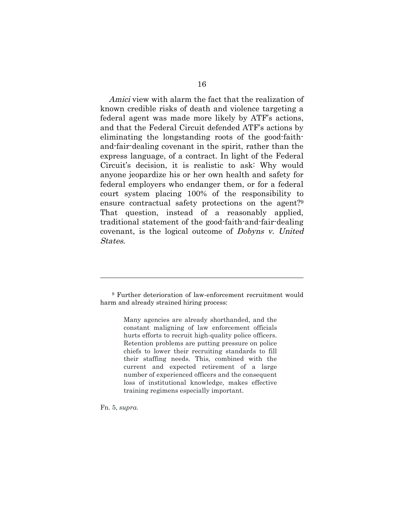Amici view with alarm the fact that the realization of known credible risks of death and violence targeting a federal agent was made more likely by ATF's actions, and that the Federal Circuit defended ATF's actions by eliminating the longstanding roots of the good-faithand-fair-dealing covenant in the spirit, rather than the express language, of a contract. In light of the Federal Circuit's decision, it is realistic to ask: Why would anyone jeopardize his or her own health and safety for federal employers who endanger them, or for a federal court system placing 100% of the responsibility to ensure contractual safety protections on the agent?<sup>9</sup> That question, instead of a reasonably applied, traditional statement of the good-faith-and-fair-dealing covenant, is the logical outcome of Dobyns v. United States.

<sup>9</sup> Further deterioration of law-enforcement recruitment would harm and already strained hiring process:

> Many agencies are already shorthanded, and the constant maligning of law enforcement officials hurts efforts to recruit high-quality police officers. Retention problems are putting pressure on police chiefs to lower their recruiting standards to fill their staffing needs. This, combined with the current and expected retirement of a large number of experienced officers and the consequent loss of institutional knowledge, makes effective training regimens especially important.

Fn. 5, *supra.*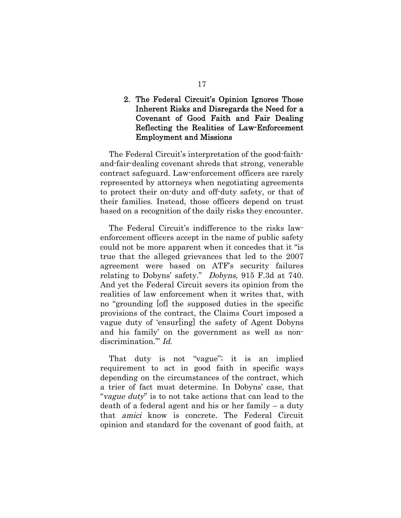### 2. The Federal Circuit's Opinion Ignores Those Inherent Risks and Disregards the Need for a Covenant of Good Faith and Fair Dealing Reflecting the Realities of Law-Enforcement Employment and Missions

The Federal Circuit's interpretation of the good-faithand-fair-dealing covenant shreds that strong, venerable contract safeguard. Law-enforcement officers are rarely represented by attorneys when negotiating agreements to protect their on-duty and off-duty safety, or that of their families. Instead, those officers depend on trust based on a recognition of the daily risks they encounter.

The Federal Circuit's indifference to the risks lawenforcement officers accept in the name of public safety could not be more apparent when it concedes that it "is true that the alleged grievances that led to the 2007 agreement were based on ATF's security failures relating to Dobyns' safety." Dobyns, 915 F.3d at 740. And yet the Federal Circuit severs its opinion from the realities of law enforcement when it writes that, with no "grounding [of] the supposed duties in the specific provisions of the contract, the Claims Court imposed a vague duty of 'ensur[ing] the safety of Agent Dobyns and his family' on the government as well as nondiscrimination." *Id.* 

That duty is not "vague"; it is an implied requirement to act in good faith in specific ways depending on the circumstances of the contract, which a trier of fact must determine. In Dobyns' case, that "vague duty" is to not take actions that can lead to the death of a federal agent and his or her family – a duty that amici know is concrete. The Federal Circuit opinion and standard for the covenant of good faith, at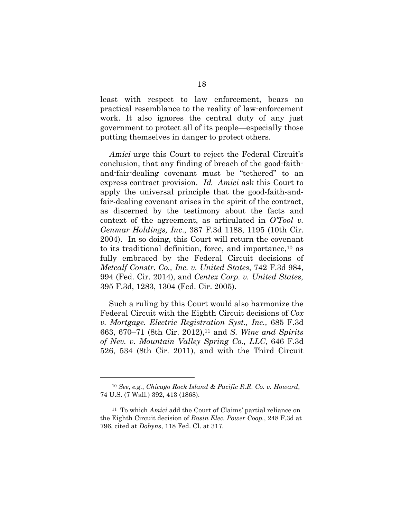least with respect to law enforcement, bears no practical resemblance to the reality of law-enforcement work. It also ignores the central duty of any just government to protect all of its people—especially those putting themselves in danger to protect others.

Amici urge this Court to reject the Federal Circuit's conclusion, that any finding of breach of the good-faithand-fair-dealing covenant must be "tethered" to an express contract provision. Id. *Amici* ask this Court to apply the universal principle that the good-faith-andfair-dealing covenant arises in the spirit of the contract, as discerned by the testimony about the facts and context of the agreement, as articulated in *O'Tool v. Genmar Holdings, Inc*., 387 F.3d 1188, 1195 (10th Cir. 2004). In so doing, this Court will return the covenant to its traditional definition, force, and importance,<sup>10</sup> as fully embraced by the Federal Circuit decisions of *Metcalf Constr. Co., Inc. v. United States*, 742 F.3d 984, 994 (Fed. Cir. 2014), and *Centex Corp. v. United States,* 395 F.3d, 1283, 1304 (Fed. Cir. 2005).

Such a ruling by this Court would also harmonize the Federal Circuit with the Eighth Circuit decisions of *Cox v. Mortgage. Electric Registration Syst., Inc.,* 685 F.3d 663, 670–71 (8th Cir. 2012),<sup>11</sup> and *S. Wine and Spirits of Nev. v. Mountain Valley Spring Co., LLC*, 646 F.3d 526, 534 (8th Cir. 2011), and with the Third Circuit

<sup>10</sup> *See*, *e.g.*, *Chicago Rock Island & Pacific R.R. Co. v. Howard*, 74 U.S. (7 Wall.) 392, 413 (1868).

<sup>11</sup> To which *Amici* add the Court of Claims' partial reliance on the Eighth Circuit decision of *Basin Elec. Power Coop.*, 248 F.3d at 796, cited at *Dobyns*, 118 Fed. Cl. at 317.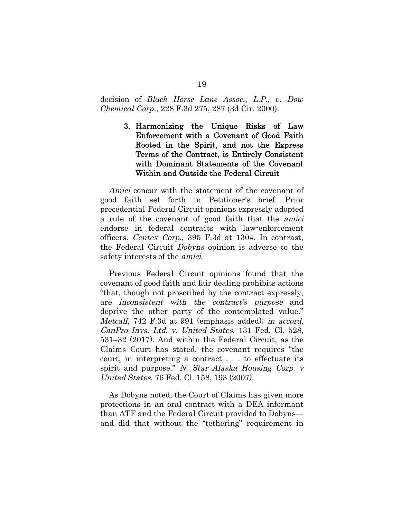#### decision of *Black Horse Lane Assoc., L.P., v. Dow Chemical Corp*., 228 F.3d 275, 287 (3d Cir. 2000).

3. Harmonizing the Unique Risks of Law Enforcement with a Covenant of Good Faith Rooted in the Spirit, and not the Express Terms of the Contract, is Entirely Consistent with Dominant Statements of the Covenant Within and Outside the Federal Circuit

Amici concur with the statement of the covenant of good faith set forth in Petitioner's brief. Prior precedential Federal Circuit opinions expressly adopted a rule of the covenant of good faith that the amici endorse in federal contracts with law-enforcement officers. Centex Corp., 395 F.3d at 1304. In contrast, the Federal Circuit Dobyns opinion is adverse to the safety interests of the amici.

Previous Federal Circuit opinions found that the covenant of good faith and fair dealing prohibits actions "that, though not proscribed by the contract expressly, are inconsistent with the contract's purpose and deprive the other party of the contemplated value." Metcalf, 742 F.3d at 991 (emphasis added); in accord, CanPro Invs. Ltd. v. United States, 131 Fed. Cl. 528, 531–32 (2017). And within the Federal Circuit, as the Claims Court has stated, the covenant requires "the court, in interpreting a contract . . . to effectuate its spirit and purpose." N. Star Alaska Housing Corp. v United States, 76 Fed. Cl. 158, 193 (2007).

As Dobyns noted, the Court of Claims has given more protections in an oral contract with a DEA informant than ATF and the Federal Circuit provided to Dobyns and did that without the "tethering" requirement in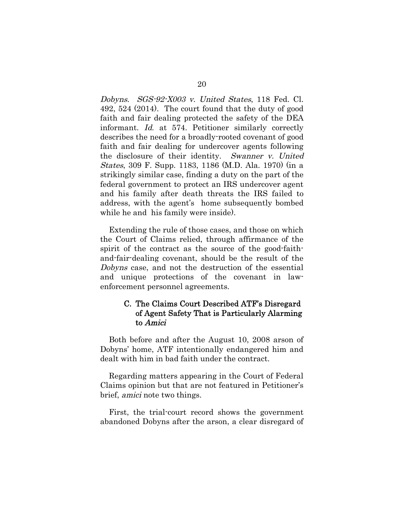Dobyns. SGS-92-X003 v. United States, 118 Fed. Cl. 492, 524 (2014). The court found that the duty of good faith and fair dealing protected the safety of the DEA informant. Id. at 574. Petitioner similarly correctly describes the need for a broadly-rooted covenant of good faith and fair dealing for undercover agents following the disclosure of their identity. Swanner v. United States, 309 F. Supp. 1183, 1186 (M.D. Ala. 1970) (in a strikingly similar case, finding a duty on the part of the federal government to protect an IRS undercover agent and his family after death threats the IRS failed to address, with the agent's home subsequently bombed while he and his family were inside).

Extending the rule of those cases, and those on which the Court of Claims relied, through affirmance of the spirit of the contract as the source of the good-faithand-fair-dealing covenant, should be the result of the Dobyns case, and not the destruction of the essential and unique protections of the covenant in lawenforcement personnel agreements.

### C. The Claims Court Described ATF's Disregard of Agent Safety That is Particularly Alarming to Amici

Both before and after the August 10, 2008 arson of Dobyns' home, ATF intentionally endangered him and dealt with him in bad faith under the contract.

Regarding matters appearing in the Court of Federal Claims opinion but that are not featured in Petitioner's brief, amici note two things.

First, the trial-court record shows the government abandoned Dobyns after the arson, a clear disregard of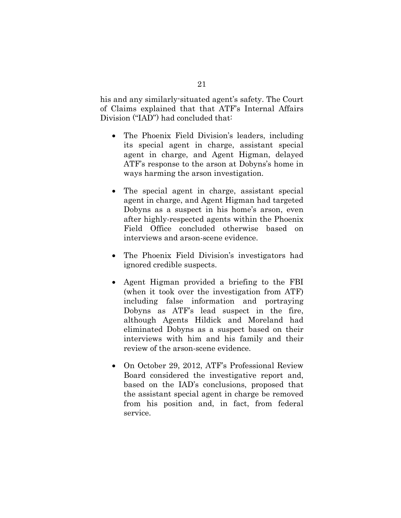his and any similarly-situated agent's safety. The Court of Claims explained that that ATF's Internal Affairs Division ("IAD") had concluded that:

- The Phoenix Field Division's leaders, including its special agent in charge, assistant special agent in charge, and Agent Higman, delayed ATF's response to the arson at Dobyns's home in ways harming the arson investigation.
- The special agent in charge, assistant special agent in charge, and Agent Higman had targeted Dobyns as a suspect in his home's arson, even after highly-respected agents within the Phoenix Field Office concluded otherwise based on interviews and arson-scene evidence.
- The Phoenix Field Division's investigators had ignored credible suspects.
- Agent Higman provided a briefing to the FBI (when it took over the investigation from ATF) including false information and portraying Dobyns as ATF's lead suspect in the fire, although Agents Hildick and Moreland had eliminated Dobyns as a suspect based on their interviews with him and his family and their review of the arson-scene evidence.
- On October 29, 2012, ATF's Professional Review Board considered the investigative report and, based on the IAD's conclusions, proposed that the assistant special agent in charge be removed from his position and, in fact, from federal service.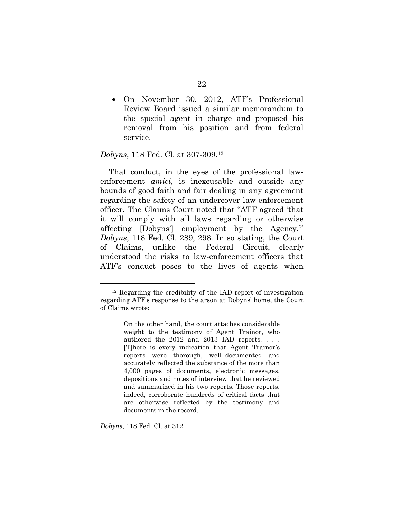On November 30, 2012, ATF's Professional Review Board issued a similar memorandum to the special agent in charge and proposed his removal from his position and from federal service.

#### *Dobyns*, 118 Fed. Cl. at 307-309.<sup>12</sup>

That conduct, in the eyes of the professional lawenforcement *amici*, is inexcusable and outside any bounds of good faith and fair dealing in any agreement regarding the safety of an undercover law-enforcement officer. The Claims Court noted that "ATF agreed 'that it will comply with all laws regarding or otherwise affecting [Dobyns'] employment by the Agency.'" *Dobyns*, 118 Fed. Cl. 289, 298. In so stating, the Court of Claims, unlike the Federal Circuit, clearly understood the risks to law-enforcement officers that ATF's conduct poses to the lives of agents when

*Dobyns*, 118 Fed. Cl. at 312.

<sup>12</sup> Regarding the credibility of the IAD report of investigation regarding ATF's response to the arson at Dobyns' home, the Court of Claims wrote:

On the other hand, the court attaches considerable weight to the testimony of Agent Trainor, who authored the 2012 and 2013 IAD reports. . . . [T]here is every indication that Agent Trainor's reports were thorough, well–documented and accurately reflected the substance of the more than 4,000 pages of documents, electronic messages, depositions and notes of interview that he reviewed and summarized in his two reports. Those reports, indeed, corroborate hundreds of critical facts that are otherwise reflected by the testimony and documents in the record.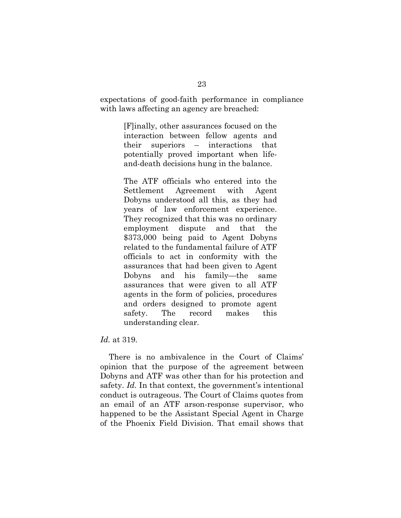expectations of good-faith performance in compliance with laws affecting an agency are breached:

> [F]inally, other assurances focused on the interaction between fellow agents and their superiors – interactions that potentially proved important when lifeand-death decisions hung in the balance.

The ATF officials who entered into the Settlement Agreement with Agent Dobyns understood all this, as they had years of law enforcement experience. They recognized that this was no ordinary employment dispute and that the \$373,000 being paid to Agent Dobyns related to the fundamental failure of ATF officials to act in conformity with the assurances that had been given to Agent Dobyns and his family—the same assurances that were given to all ATF agents in the form of policies, procedures and orders designed to promote agent safety. The record makes this understanding clear.

#### *Id.* at 319.

There is no ambivalence in the Court of Claims' opinion that the purpose of the agreement between Dobyns and ATF was other than for his protection and safety. *Id.* In that context, the government's intentional conduct is outrageous. The Court of Claims quotes from an email of an ATF arson-response supervisor, who happened to be the Assistant Special Agent in Charge of the Phoenix Field Division. That email shows that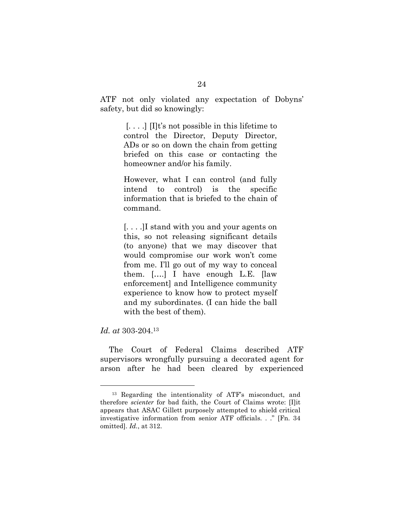ATF not only violated any expectation of Dobyns' safety, but did so knowingly:

> $\left[ \ldots \right]$   $\left[ \prod$ t's not possible in this lifetime to control the Director, Deputy Director, ADs or so on down the chain from getting briefed on this case or contacting the homeowner and/or his family.

> However, what I can control (and fully intend to control) is the specific information that is briefed to the chain of command.

> [. . . .]I stand with you and your agents on this, so not releasing significant details (to anyone) that we may discover that would compromise our work won't come from me. I'll go out of my way to conceal them. [….] I have enough L.E. [law enforcement] and Intelligence community experience to know how to protect myself and my subordinates. (I can hide the ball with the best of them).

*Id. at* 303-204.<sup>13</sup>

The Court of Federal Claims described ATF supervisors wrongfully pursuing a decorated agent for arson after he had been cleared by experienced

<sup>13</sup> Regarding the intentionality of ATF's misconduct, and therefore *scienter* for bad faith, the Court of Claims wrote: [I]it appears that ASAC Gillett purposely attempted to shield critical investigative information from senior ATF officials. . ." [Fn. 34 omitted]. *Id.*, at 312.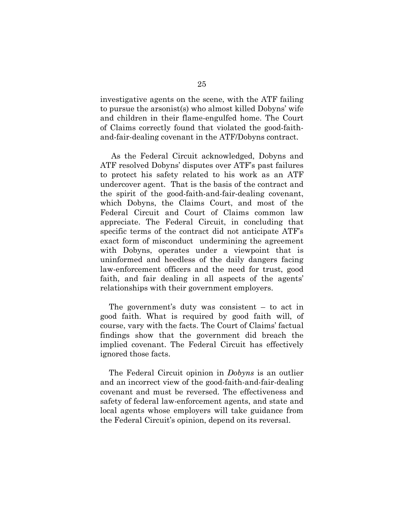investigative agents on the scene, with the ATF failing to pursue the arsonist(s) who almost killed Dobyns' wife and children in their flame-engulfed home. The Court of Claims correctly found that violated the good-faithand-fair-dealing covenant in the ATF/Dobyns contract.

As the Federal Circuit acknowledged, Dobyns and ATF resolved Dobyns' disputes over ATF's past failures to protect his safety related to his work as an ATF undercover agent. That is the basis of the contract and the spirit of the good-faith-and-fair-dealing covenant, which Dobyns, the Claims Court, and most of the Federal Circuit and Court of Claims common law appreciate. The Federal Circuit, in concluding that specific terms of the contract did not anticipate ATF's exact form of misconduct undermining the agreement with Dobyns, operates under a viewpoint that is uninformed and heedless of the daily dangers facing law-enforcement officers and the need for trust, good faith, and fair dealing in all aspects of the agents' relationships with their government employers.

The government's duty was consistent – to act in good faith. What is required by good faith will, of course, vary with the facts. The Court of Claims' factual findings show that the government did breach the implied covenant. The Federal Circuit has effectively ignored those facts.

The Federal Circuit opinion in *Dobyns* is an outlier and an incorrect view of the good-faith-and-fair-dealing covenant and must be reversed. The effectiveness and safety of federal law-enforcement agents, and state and local agents whose employers will take guidance from the Federal Circuit's opinion, depend on its reversal.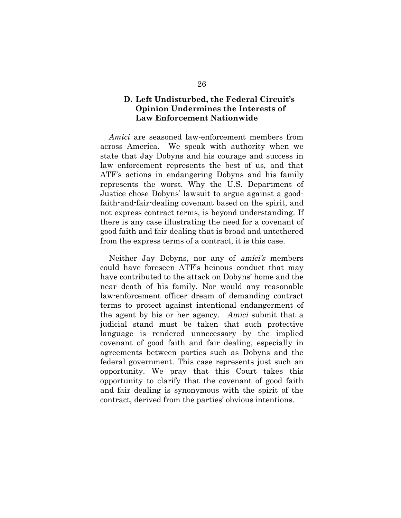### **D. Left Undisturbed, the Federal Circuit's Opinion Undermines the Interests of Law Enforcement Nationwide**

*Amici* are seasoned law-enforcement members from across America. We speak with authority when we state that Jay Dobyns and his courage and success in law enforcement represents the best of us, and that ATF's actions in endangering Dobyns and his family represents the worst. Why the U.S. Department of Justice chose Dobyns' lawsuit to argue against a goodfaith-and-fair-dealing covenant based on the spirit, and not express contract terms, is beyond understanding. If there is any case illustrating the need for a covenant of good faith and fair dealing that is broad and untethered from the express terms of a contract, it is this case.

Neither Jay Dobyns, nor any of amici's members could have foreseen ATF's heinous conduct that may have contributed to the attack on Dobyns' home and the near death of his family. Nor would any reasonable law-enforcement officer dream of demanding contract terms to protect against intentional endangerment of the agent by his or her agency. Amici submit that a judicial stand must be taken that such protective language is rendered unnecessary by the implied covenant of good faith and fair dealing, especially in agreements between parties such as Dobyns and the federal government. This case represents just such an opportunity. We pray that this Court takes this opportunity to clarify that the covenant of good faith and fair dealing is synonymous with the spirit of the contract, derived from the parties' obvious intentions.